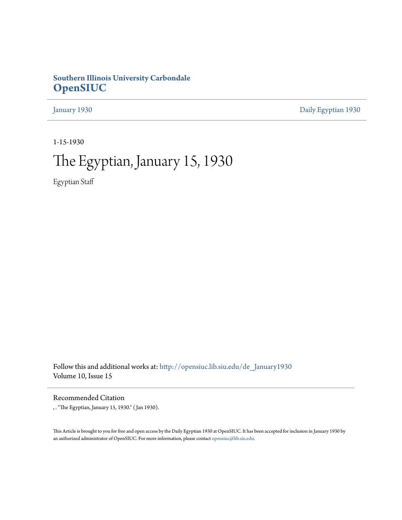# **Southern Illinois University Carbondale [OpenSIUC](http://opensiuc.lib.siu.edu?utm_source=opensiuc.lib.siu.edu%2Fde_January1930%2F3&utm_medium=PDF&utm_campaign=PDFCoverPages)**

[January 1930](http://opensiuc.lib.siu.edu/de_January1930?utm_source=opensiuc.lib.siu.edu%2Fde_January1930%2F3&utm_medium=PDF&utm_campaign=PDFCoverPages) [Daily Egyptian 1930](http://opensiuc.lib.siu.edu/de_1930?utm_source=opensiuc.lib.siu.edu%2Fde_January1930%2F3&utm_medium=PDF&utm_campaign=PDFCoverPages)

1-15-1930

# The Egyptian, January 15, 1930

Egyptian Staff

Follow this and additional works at: [http://opensiuc.lib.siu.edu/de\\_January1930](http://opensiuc.lib.siu.edu/de_January1930?utm_source=opensiuc.lib.siu.edu%2Fde_January1930%2F3&utm_medium=PDF&utm_campaign=PDFCoverPages) Volume 10, Issue 15

Recommended Citation

, . "The Egyptian, January 15, 1930." ( Jan 1930).

This Article is brought to you for free and open access by the Daily Egyptian 1930 at OpenSIUC. It has been accepted for inclusion in January 1930 by an authorized administrator of OpenSIUC. For more information, please contact [opensiuc@lib.siu.edu.](mailto:opensiuc@lib.siu.edu)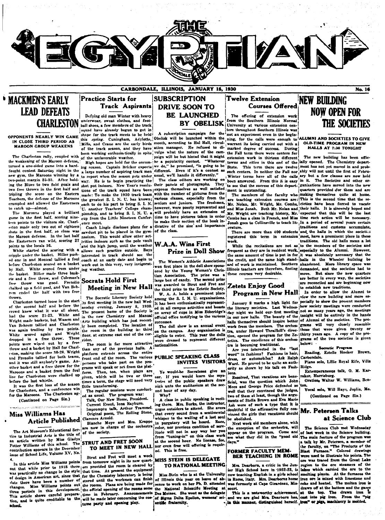

# *EMACKMEN'S EARLY* **LEAD DEFEATS CHARLESTON**

OPPONENTS NEARLY WIN GAME IN CLOSE THIRD PERIOD AS **MAROON GROUP WEAKENS** 

The Charleston rally, coupled with the weakening of the Marcon defense, turned a one-sided game into a hardfought contest Saturday night in the new gym, the Marcons winning by a soint margin 35-33. After holding the Blues to two field goals and two free throws in the first half and tripling the score on the Eastern Teachers, the defense of the Maroons crumpled and allowed the Easterners to catch up-almost.

The Maroons played a brilliant<br>game in the first half, scoring nineteen points to the visitors six. Charleston made only two out of eighteen shots in the first half, so close was the Maroon defense. In the last half the Easterners ran wild, scoring 27 points to the locals 16.

cripple under the basket. Hiller pushed one in and Monical tallied a foul by Hall. White scored from under ing weather. the basket. Hiller made three baskets and a free throw, and Coleman's was good. Frenolio free throw chalked up a field goal, and Van Behrem ended the half with two free throws

Charleston turned loose in the start of the second half and before the crowd knew what it was all about, had the score 21-23. White and Wright made baskets, but Wasem and Van Behrem tallied and Charleston was again trailing by two points. white scored again and Wright and Wright points were wiped out by a free throw and a basket by Hall for Charleston, making the score 30-28. Wright and Frenolio tallied for both teams, and it was still anybody's game. Another basket and a free throw for the Maroons and a basket from the foul line for Charleston were chalked up before the last whirtle.

It was the first loss of the season for Charleston, and a conference win for the Marcons. The Charleston ag-(Continued on Page Six.)

### .<br>Prima na contenta a rama di Prima dell' Miss Williams Has Article Published Clarence Arnold.

The Art Museum's Educational Service to Industrial Arts is the title of an article written by Miss Gladys Charles Conter Williams of this school. The STRUT AND FRET SOON contribution appears in the December issue of School Life, Volume XV, No.

In this article Miss Williams points was practically no change in the style that time. At present the equipment of design in American art, since that the there have been a number of stored until the workmen can finish thanges. Miss Williams points out the rooms. Plans are being made for three periods in this development, the official opening of the rooms some three peri school.

### **Practice Starts for Track Aspirants**

Defying old man Winter with heavy underwear, sweat clothes, and football shoes, a few members of the track squad have already begun to get in shape for the track meets to be held this spring. Cuningham, Adylotte, Obelisk will be launched within the ning, for the calls were enough to ALUMNI AND SOCIETIES TO GIVE Mills, and Crane are the early birds month, according to Hal Hall, circul-

been working enthusiartically in spite of the unfavorable weather. High hopes are held for the oncom-

ing scason. Captain Bricker expects a large number of aspiring track men to report when the season gets under usual, we'll handle it differently." way. He is to begin practicing the shot put indoors. New Year's resolu- their panels of photographs. tions of the track squad have been express themselves as well satisfied made: To make the 1930 track team the greatest S. I. N. U. has known each to do his part to bring S. I. N. 11. another Teachers' College championship, and to bring S. I. N. U. a

cup from the Little Nineteen Confer-.<br>ice meet

Coach Lingle discloses plans for a sawdust pit to be placed in the gymnasium. This would allow other act-<br>jvities indoors such as the pole vault and the high jump, until the weather White started the scoring with a allows such practice outside. Boys interested in track should see the coach at an early date and begin to before Charleston scored on a basket work out in this very, very invigorat-

### Socrats Hold First Meeting in New Hall

The Socratic Literary Society held The present home of the Society is in the new Chemistry and Manual Arts huilding which has just recently been completed. The location of the room in the building is: third floor, at extreme east end of the corridor.

The room is far more attractive than any of the previous halls. A platform extends across the entire front end of the room. The various PUBLIC SPEAKING CLASS persons who take part on the programs will speak or act from the platform. Then, too, when plays are given, which will be two or three times a term, the stage will need very little transforming.

The regular sessions were conducted as usual. The program was: Talk, Our New Home, President.<br>Current Event, Iona Rayburn.

Impromptu talk, Arthur Trammel. Original poem, The Rolling Stone, Blanche Moye and Mrs. Krappe are now in charge of the orchestra

of the society.

# TO MEET IN NEW HALL

Strut and Fret will meet a week from tomorow night in its new quartout that while prior to 1918 there ers provided the room is cleared by for the Chemistry laboratory is being tume party and opening play.

# **SUBSCRIPTION** DRIVE SOON TO **BE LAUNCHED**

A subscription campaign for the of the track season, and they have ation manager. He refused to divulge what the nature of the campaign will be but hinted that it might be a popularity contest. "Whatever we do," he promised, "is going to be different. Even if it's a contest as The class editors are working on

They with the number of pictures from the various classes, especially from the seniors and juniors. The freshmen, however, were poorly represented and will probably have an extension of time to have pictures taken in order to make their section of the book indicative of the size and importance of the class.

### W.A.A. Wins First Prize in Doll Show

The Women's Athletic Associations von first place in the doll show sponstian Association. The prize was a these courses very desirable. large box of candy. The second prize was awarded to Strut and Fret and the third prize to the Zetetic Society.

W. A. A. holds a prominent place among the S. I. N. U. organizations First meeting in the new hall Wed-<br> $\frac{1}{16}$  has been enthusiastically represent-<br>nesday evening, January 8, 1930.  $\frac{1}{16}$  in all campus activities and boasts ed in all campus activities and boasts an array of cups in Miss Etheridge's official office testifying to the various successes

were dressed to represent different nationalities.

# INVITES VISITORS

Ye would-be Socrateses give an ear. If you would learn the mystorios of the public speakers draw nigh unto the auditorium at the second hour of any day. Why?

A class in public speaking is reciting there. Mrs. Burks, the instructor, urges outsiders to attend. She avers that every sound from a sentimental whisper to the wailing of a lost soul in purgatory will be heard. Rece. color, nor previous condition of servitude will not in any way bar you from "tuning-in" on this class work at the second hour. No license, fee, nor even free will offering is requir ed. This is free.

#### MISS STEIN IS DELEGATE TO NATIONAL MEETING

Miss Stein who is at the University of Illinois this year on leave of absence to work on her Ph. D. attended<br>the National Scientific Meeting at **the** This article shows careful preparts in eight represents the contract of the second article shows careful preparts. Announcements Des Moines. She went as the delegate tion, and is quite creditable to the will be made later concerning the cos-of Sigma Delta Epsilon, wamens' scientific fraternity.

### **Twelve Extension Courses Offered**

The offering of extension work<br>from the Southern Illinois Normal BY OBELISK University at various extension centers throughout Southern Illinois was not an experiment even in the begin-

warrant its being carried out with a marked degree of success. During the Fall term there were centers for

extension work in thirteen different towns and cities in this end of the ially opened. The Chemistry depart-State. This term there are twelve ment has not yet moved in and probsuch centers. In neither the Fall nor Winter terms have all of the calls been answered. From this it is easy to see that the success of this depart- ganizations have moved into the new ment is outstanding.

are teaching extension courses are: This is the second time that the so-Mr. Nolan, Mr. Wright, Mr. Combs, cieties have been forced to vacate and Miss Jonah. Both Mr. Nolan and their halls. It is sincerely hoped and Mr. Wright are teaching history, Mr. Combs has a class in French, and Miss time such action will be necessary. Jonah goes to Collinsville to teach lit- In a period of several years certain erature.

work.

frequent as they are in resident work, especially to the Alumni. However, the same amount of time is put in for it was absolutely necessary that the the credit, and the same high stand-thalls in the Wheeler building be ard of work is maintained. Southern abandoned. More library space was ored by the Young Women's Chris-Illlinois teachers are therefore, finding demanded, and the societies had to

### **Zetets Enjoy Good** Program in New Hall

January 8 marks a high light for the literary societies. Last Wednesin our new halls. The beauty of the halls themselves should inspire better The excellence of this orches-.<br>.tetics. tra is becoming traditional.

Are you interested in the "last<br>word" in fashions? Fashions in hair, dress, or automobiles? Ask Ralph Ward. He proved to be quite an authority as shown by his talk on Fash ions.

Resolved, That vacations are bene ficial, was the question which John Mees and George Price defended so well that they convinced the judges. two of them at least, though the arguments of Stella Brown and Eva Marie Ash were of such a type that it is doubtful if the affirmative fully convinced the girls that vacations should be abolished.

Next week old members alone, with the exception of the orchestra, will appear on the program. Come and days."

### FORMER FACULTY MEM-BER TEACHING IN ROME

Mrs. Dearborn, a critic in the Junior High School here in 1922-23, is now teaching English in a girls school in Rome, Italy. Mrs. Dearborns home was formerly at Cape Girardeau, Missouri.

in this manner, distinguished herself. from" or pigs, machinery is molded.

# **NEW BUILDING NOW OPEN FOR** THE SOCIETIES

**OLD-TIME PROGRAM IN NEW** HALLS AT 7:30 TONIGHT

The new building has been officably will not until the first of February but a few classes are now held in it. The Societies and other orquarters provided for them and are The members of the faculty who making themselves quite at home. expected that this will be the last traditions and customs accumulate,

There are more than 400 students and the halls in which the societies registered this term in extension meet, have a prominent place in these traditions. The old halls mean a lot

While the recitations are not as to the members of the societies and But since the new quarters move. are better in every way, the societies are reconciled and are beginning now to establish new traditions

In order to allow the Alumni to view the new building and more esnecially to show the present members how society meetings were conducted day night we held our first meeting not so many years ago, the meetings tonight will be entirely in the hands of Alumni of the societies. The pro-The doll show is an annual event work from the members. The order remains will very closely resemble<br>on the campus. Any organization is tra, under Howard Thrailkill's directions will very closely resemble<br>eighbe to enter. grams of the two societies is given below:

Socratic Program

Reading, Estelle Hooker Brown, Carbondale. Piano solo, Lillie Royal Rife, Villa

Ridge. Extemperaneous talk, O. M. Karaker, Harrisburg.

Oration, Walter W. Williams, Ben-

Vocal solo, Will Hays, Joplin, Mo. (Continued on Page Six.)

### Mr. Petersen Talks at Science Club

The Science Club met Wednesday of last week in the Science building. see what they did in the "good old The main feature of the program was a talk by Mr. Petersen, a member of the faculty, on "The Products of the were used to illustrate his points. The ore was traced from the Great Lake region to the ore steamers of the lakes which carried the ore to the smelting plants. At the furnaces the iron ore is mixed with limestone and coke and heated. The molten iron is coke and heaten. The movement of at the bottom and the gases This is a noteworthy achievement, at the top. The drawn iron is<br>and we are glad Mrs. Dearborn has, east inte pig iron. From the "pig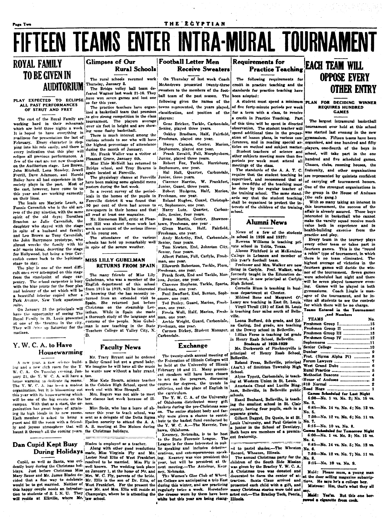THE ECYPTIAN

# FIFTEEN TEAMS ENTER INTRA-MURAL TOURNAMENT

# **ROYAL FAMILY** TO BE GIVEN IN **AUDITORIUM**

# **DIAV EXPECTED TO ECLIPSE** ALL PAST PERFORMANCES

OF STRUT AND FRET

The cast of the Royal Family are working hard in their rehearsals which are held three nights a week. It is hoped to have everything in readiness for presentation the last of February. Every character is stepping into his role easily, and there is every indication that this play will eclipse all previous performances. A few of the cast are not new thespians on the Auditorium stage. Leo Brown. John Mitchell, Lena Moseley, Jewell Ferrill, Dave Adamson, and Harold Bailey have all had experience in the society plays in the past. Most of the cast, however, have come to us this year and are working earnestly on their lines.

The leads are Marjorie Leach, as ress of the gay nineties, with the same | newspapers in their homes and that spirit of the old days; Dorothea Brandon as Jalie Cavendish, the daughter who stayed with the stage in spite of a husband and family; and Leo Brown as Tony Cavendish, the John Barrymore prototype, who elist work barrymore prototype, who almost wrecks the family with his wild movie ideas, deserting the stage for Hollywood, but being a true Cayendish comes back to the legitimate stage to stay.

The play is one of the most difficult ones ever attempted on this stage from the standpoint of stage carpentry. The school carpenter is busy<br>with the blue prints for the floor plan and balcony of the set which will be a heautiful interior copied after a Park Avenue, New York apartment turned from an extended visit to suite.

Royal Family in St. Louis presented in the city. Customs of the people. Miss Gubel- Archie Wright, Gu at one of the theatres in the city. They will device the people. Miss Gubel- Archie Wright, Gu at one of the thermal is matinee.

#### Y. W. C. A. to Have Housewarming

A new year, a new science build- a ing and a new club room for the Y. We imagine he will have all the music W. C. A. On Tuesday evening, Jan- he wants now without a baby grand, uary 21, the Y. W. C. A. will have a too. house warming to dedicate its rooms. The Y W C A has been a modest in the Cobden High School, spent the organization, but it is blossoming out week end with Miss Steagal!. this year with its housewarming which will be one of the big events on the her classes last week because of illcampus. With that as a start, the or- ness ganization has great hopes of attaining its high ideals in its new rooms. sence this year to teach school, was Each member is asked to bring a guest and fill the room with a friend- Epsilon sorority to attend the A. A. ly and joyous atmosphere that will A. S. meeting at Des Moines during the Y. W. C. A.-The Maveric, Tonhaunt it through all the coming years, the Christmas holidays,

### Dan Cupid Kept Busy Along with other good resolutions<br>During Holidays made, Miss Virginia Fly and Mr.

idavs. Mary Sauer and Mr. James Blades de-jMrs. W. C. Fly, parents of the bride.<br>Mary Sauer and Mr. James Blades de-jMrs. W. C. Fly, parents of the bride. would be to get married. Neither of West Frankfort. For the present the this happy couple needs an introduc-jnew Mr. and Mrs. Ellis will reside at this happy couple needs an introduc-jnew Mr. and Mrs. Ellis will reside at tion to students of S. I. N. U. They Champsign, where he is attending th will reside at Elkville, where Mr. law school.

### **Glimpses of Our Rural Schools**

The rural schools resumed work Thursday, January 2.

The Bridge volley ball team defosted Wagner last week 21-18. They have won seven games and lost one so far this year.

The practice teachers have organized a basketball team that promises to give strong competition in the class tournament. The players average over six feet in height and are showing some flashy basketball.

There is much interest among the various schools to see who will have the highest percentage of attendance during the month of January.

Mr. Frank Waller was a visitor at Pleasant Grove, January 6th. Miss Elsie McNeill has returned to Bridge school, and Troy Stearns is Sophomore, one year. again located at Foreville.

The physiology classes at Foreville have been making some splendid menu nosters during the last week

In a recent survey of the periodicals in the homes of the pupils in Freshman, one year. Foreville district it was found that Fannie Cavendish who is the old act. 90 per cent of them had access to

Mr. Emmerson Hall, critic at Pleasant Hill was absent from work last week on account of the serious illness of his voung son.

The attendance of the various schools has held up remarkably well Senior, four years. in spite of the severe weather.

#### **MISS LILLY GUBELMAN RETURNS FROM SPAIN**

The many friends of Miss Lily Gubelman, who was a member of the English department of this school from 1915 to 1919, will be interested Freshman, one year. in knowing that she has recently re-Spain. She returned just before On January 23 the principals will Christmas on the steamship Levhave the opportunity of seeing The iathan. While in Spain she made Royal Family in St. Louis presented a thorough study of the language and

### **Faculty News**

∛D.

Mr. Tracy Bryant said he ordered

Miss Kate Stearn, science teacher

Mrs. Rogers was not able to meet

Miss Stein, who has a leave of absent as a delegate of the Delta Sigma ulty were given a chance to contri-

Blades is employed as a teacher.

Cupid, as well as Santa, was evi-<br>cessived to be married. Miss Fly is year, but will be president this<br>denty busy during the Christmas hol-<br>well known. The wedding took place next meeting...The Anteloue, Kear-<br>denty busy d Just before Christmas Miss on January 1, at the home of Mr. and

# **Football Letter Men Receive Sweaters**

On Thursday of last week Coach McAndrews presented twenty-three sweaters to the members of the football team of the past season. The following gives the names of the towns represented, the years played, classification, and position of the for a term with a class, to receive players:

Gene Bricker, Tackle, Carbondale, Senior, played three years.

Freshman, played one year.

Harry Canada, Center, Marion, Sophomore, played one year. Frank Eovaldi, Full. Murphysboro.

Junior, played three years. Robert Fox, Tackle, Harrisburg,

Hal Hall, Quarter, Carbondale, Junior, three years.

Ciarence Harriss, W. Frankfort, Junior, Guard, three years. Robert Hudgens, Half, Marion,

Roland Hughes, Guard, Christoph-

er, Sophomore, one year. Harry Lutz, Quarter, Carbon-

dale, Senior, four years. Dean Martin, Center. **Shawnee** town, Freshman, one year

Glenn Martin, Half. Fairfield, Freshman, one year.

Andy McArthy, End, Carbondale, Tom Newton, End. Johnston City.

Senior, four years. Albert Patton, Full, Carlyle, Fresh-

man, one year. Ellsworth Robertson, Tackle, Flora,

Feshman, one year.<br>Frank Scott, End and Tackle, Mar-

issa. Junior. one year. Ciarence Stephens, Tackle, Sparta, High School,

Paul Swofford, End, Benton, Sophomore, one year.

man, one year. Archie Wright, Guard, Carbondale, Leona Bufford, 4th grade, and Ed-

Carhondale

#### **Exchange**

The twenty-sixth annual meeting of Baby Grand but got a grand baby, the Federation of Illinois Colleges will be held at the University of Illinois February 10 and 11. Many prominent speakers will have been chosen to act on the program, discussing<br>courses for degrees, the trends in

the curriculum.<br>The Y. W. C. A. of the University of Oklahoma distributed many gift baskets during the pre-Christmas season. The entire student body and facbute to the basket fund conducted by hawa, Oklahoma.

Kearney, Nebraska, is to be host to the State Forensic League. The League is for those interested in pub lic speaking and includes debating orations, and extemporaneous speakney, Nebraska.

The Women's Glee Club of Whent during this winter, and are practicing presented each child with a gift, and equiarity twice a week. Heretofore many Christmas stories were told and requiarity twice a week. Heretofore many Christmas stories were told and the dresses worn by them have been acted out.—The Bradley Tech, Peoria, white but this year are being chang- Illinois.

**Practice Teaching** The following requirements for credit in practice teaching and the standards for practice teaching have

Requirements for

been adopted: A student must spend a minimum PLAN FOR DECIDING WINNER of five forty-minute periods per week

a credit in Practice Teaching. Part of this time will be spent in directed observation. The student teacher will Oakley Bradham, Half, Fairfield, spend additional time in the preparation of lesson plans, in various conferences, and in reading special ar-

> Student teachers of science and other subjects meeting more than five periods per week must attend all<br>| meetings of the class.

The standards of the A. A. T. C. require that the student teaching be supervised, and recommend that at least two-fifths of the teaching must least two-niths of the teaching must:<br>the done by the regular teacher of the strongest organizations in<br>the training school. The same stand-i<sup>the</sup> group in the House of Anduses ards say that the student teaching; (the cafe gang.) array can use success the in- $\vert$  With so many taking an interest in<br>shall be organized to protect the in- $\vert$  With so many taking an interest interests of the children of the training, this tournament, the success of the school.

# Alumni News

News of a few of the students  $\sin$  school in 1926 and 1927: Rowens Williams is teaching pri-

ate school in Yslita, Texas. Alonzo Pitchford is at McKendree College in Lebanon and member of

this year's football team. Frofessor and Mrs. Walker are now

living in Carlyle. Prof. Walker, who formerly taught in the Education de-Cornelia Blum is teaching in busi-

ness department at Chester.

Ted Penley, Guard, Marion, Fresh- Leary are teaching in East St. Louis for which there will be no charge.<br>nan, one year. [16] Virgil Thrall (28) of East St. Louis for which there will be no charge. man, one year.<br>Freela Woll, Half, Marion, Fresh- is teaching four miles south of Bellewille.

cations with the state of the contract the contract and the state and the carding. And grade, are teaching<br>Carmen Dickey, Student Manager, at the Dewey school in Belleville.

1.illian Foree is teaching 1st grade in Henry Raab School, Belleville.

**Students of 1928-1929** Mr. Duckworth of Pinckneyville is

principal of Henry Raab School. 1 Roland Press, Belleville, principal

(Ass't.) of Smithton Township High School. Alyne Tygett, Carbondale, is teach-

ing at Western Union in St. Louis. Anastasia Cloud and Lucille Bingcourses for occases, we have discussed to an account and the place of English in Anastasia crown and socially schools.

Hazel Bonhard, Belleville, is teaching the smallest school in St. Clair county, having four pupils, each in a separate grade.

Gilbert Dagget. Du Quoin, is at St. Louis University, and Paul Grissim is a junior in the School of Dentistry. Both boys are members of a prominent fraternity.

d to pastel shades.-The Wheaton Record. Wheaton. Illinois.

The annual Christmas party for the children of the South Side Mission A Christmas tree was donated and decorated to form the center of aton College are anticipating a trip East traction. Santa Claus arrived and

# **EACH TEAM WILL OPPOSE EVERY OTHER ENTRY**

**REQUIRES HUNDRED GAMES** 

The largest intrampral haskethall tournament ever held at this school was started last evening in the new gymnasium. Fifteen teams have been organized, and one hundred and fifty ticles on method and subject matter. players, one-fourth of the boys in school, will take part in the one hundred and five scheduled games. Classes, clubs, rooming houses, the fraternity, and other organizations are represented by quintets confident of carrying off tournament honors

With so many taking an interest in affair is already assured. Those boys interested in haskethall who cannot make the varsity squad receive much value both in experience and health-building exercise from the

practice and play.<br>Every team in the tourney plays every other team or takes part in<br>fourteen games. This is the "round a robin" type of tournament, in which there is no team eliminated. The highest average of victories in the fourteen games will decide the winner of the tournament. Seven games partment, is now principal at Carlyle were scheduled last night and there will be seven played tomorrow evening. Games will be played in both gymnasiums. Coach Lingle is man-Sas department at Chester.<br>
Mildred Bone and Margaret O' ager of the tournament, and he in-<br>
carry are together in East St Louis vites all students to see the contests

Teams Entered in the Tournament and Numbers

| <b>TEAMS</b>                                                      | No. |
|-------------------------------------------------------------------|-----|
| Freshmen Group I15                                                |     |
| Freshmen Group II 14                                              |     |
| Freshmen Group III 13                                             |     |
| Freshmen Group IV 12                                              |     |
|                                                                   |     |
|                                                                   |     |
|                                                                   |     |
| Frat. (Sigma Alpha Pi)  8                                         |     |
|                                                                   |     |
| West Grand Dubs  6                                                |     |
|                                                                   |     |
|                                                                   |     |
|                                                                   |     |
|                                                                   |     |
|                                                                   |     |
| <b>Games Scheduled for Last Night</b>                             |     |
| 6:00-No. 1 vs. No. 2; No. 15 vs.                                  |     |
| No. 3.                                                            |     |
| 6:45-No. 14 vs. No. 4; No. 13 vs.                                 |     |
| No. 5.                                                            |     |
| 7:30-No. 12 vs. No. 6; No. 11 vs.                                 |     |
| No. 7.                                                            |     |
| 8:15-No. 10 vs. No. 8.                                            |     |
| <b>Games Scheduled for Tomorrow Night</b>                         |     |
| 6:00-No. 1 vs. No. 3; No. 15 vs.                                  |     |
| No. 4.                                                            |     |
| 6:45-No. 14 vs. No. 5; No. 13 vs.                                 |     |
| No. 6.                                                            |     |
| 7:30-No. 12 vs. No. 7; No. 11 vs.                                 |     |
| No. 8.                                                            |     |
| 8:15-No. 10 vs. No. 9.                                            |     |
|                                                                   |     |
|                                                                   |     |
| Maid: Please mum, a young man<br>u tha daan sallaa mammaca macama |     |

tions. He says he's a college boy. Mistress: Hm, that's what they all

Maid: Yes'm. But this one borwed a cigarette from cook.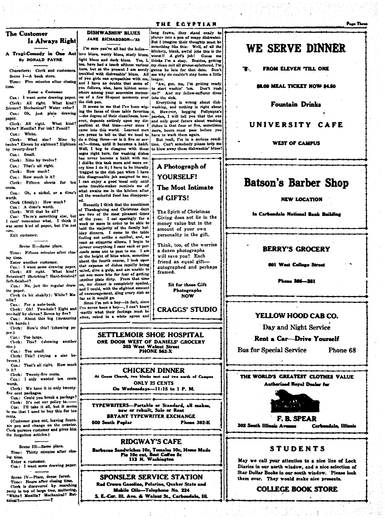#### **The Customer** Is Always Right

## A Tragi-Comedy in One Act By DONALD PAYNE

Characters: Clerk and customers Secne I-A book store. Time: Five minutes after closing time.

Enter a Costomer

Cus.: I want some drawing paper. Clerk: All right. What kind?<br>Science? Mechanical? Water color? Cus.: Oh, just plain drawing

paper. Clerk: All right. What kind? White? Manilla? For ink? Pencil?

Cus.: White. Clerk: What size? Nine by twelve? Eleven by eighteen? Eighteen

by twenty-four? Cus.: Small.

Clerk: Nine by twelve?

Cus.: That's all right.

Clerk: How much?

Cus.: How much is it?

Clerk: Fifteen sheets for ten cents.

Cus.: Oh. a nickel, or a dime's worth.

Clerk (firmly): How much?

Cus.: A dime's worth. Clerk: Will that be all?

Cus: There's something else, but<br>I cant' remember what. I think it

was some kind of paper, but I'm not sure.

Fvit customer.

Scene II-Same place.

Time: Fifteen minutes after clos ing time.

Enter another customer.

Cus.: I want some drawing paper Clerk: All right. What kind!<br>Botanical? Sketching? Hard-finished Soft-finished?

Cus.: No, just the regular draw ing paper.

Clerk (a bit shakily): White? Mahilla?

Cus.: For a note-book. Clerk: Oh! Two-hole? Eight and

one-half by eleven? Seven by five? Cus.: About this big (measuring

with hands.) Clerk: How's this? '(showing pa

per.) Cus.: Too large.

Clerk: This? (showing another rize.)

Cus.: Too small. Clerk: This? (trying a size be

tween.) Cus.: That's all right. How much

is it? Clerk: Twenty-five cents.

Cus.: I only wanted ten cents worth.

Clerk: We have it in only twenty five cent packages.

Cus.: Could you break a package! Clerk: It's not our policy to .-

Cus: I'll take it all, but it seems to me that I used to buy this for ten cents.

(Customer goes out, leaving fountain pen and change on the counter. Clerk pursues customer and gives him the forgotten articles.)

Scene III-Same place. Time: Thirty minutes after closing time.

Enter a customer.<br>Cus.: I want some drawing paper.

Scene IV-Place, dense forest. Time: Hours after closing time. Clerk is discovered by searching party in top of large tree, muttering, "White? Manilla? Mechanical? Botanical?-

**DISHWASHIN' BLUES** JANE RICHARDSON-'33

I'm sure you've all had the hules. blinkety, blank, awful jobs this is the worst!! A girl's job! Guess ma love blues, worry blues, study blues, light blues and dark blues. Yes, I, thinks I'm a sissy. Besides, getting too, have had a touch of these various my clean suit all grease-splattered, I'm hues, but at the present I am sorely gonna be late for that date. Don't troubled with dishwashin' blues. All see why sis couldn't stay home a little of you girls can sympathize with me, longer. and I have no doubts that some of

you fellows, also, have hidden somewhere among your souvenirs memories of a few ill-spent moments over the dish pan.

It seems to me that I've been wiping the faces of these table favorites it. However, begging Pollyanna's<br>-the degree of their cleanliness, how-pardon, I will tell you that the one ever, depends entirely upon my dis- and only good fature about washing position at that timeever since  $I$  dishes is that four or five, sometimes came into this world. Learned men are prone to tell us that we need to do a thing threeor is it five or seven?---times, until it becomes a habit. Well, I her to disagree with these sages right here, for washing dishes has never become a habit with me I dislike this task more and more every time I do it; I have to be literally lragged to the dish pan when I have

this disagreeable job assigned to me; I can enjoy a good meal only until what awaits me in the kitchen after all the wonderful food has disappear-

Honestly I think that the noontimes of Thanksgiving and Christmas days are two of the most pleasant times of the year. I eat sparingly for a veek or more in order to be able to hold the majority of the family holiday dinners. I come to the table feeling not unlike a canibal, and, as oon as etiquette allows, I begin to devour everything I canr each or persuade some one to pass to me. I am at the height of bliss when, sometime about the fourth course, I look upon that expanse of dishes rapidly being solled, give a gulp, and am unable to eat one more bite for fear of getting another plate dirty. From that time on, my dinner is completely spoiled, and I could, with the slightest amount of encouragement, aling every dish as

far as it would go. Since I'm not a boy-in fact, since ve never been a boy-, I can't know xactly what their feelings must be when, robed in a white apron and

> SETTLEMOIR SHOE HOSPITAL ONE DOOR WEST OF DANIELS' GROCERY 203 West Walnut Street **PHONE S62-X**

**CHICKEN DINNER** At Grace Church, two blocks east and two north of Campus **ONLY 25 CENTS** On Wednesdays-11:15 to 1 P. M.

TYPEWRITERS-Portable or Standard, all makes, new or rebuilt, Sale or Rent **BRYANT TYPEWRITER EXCHANGE** 500 South Poplar **Phone 392-K** 

# **RIDGWAY'S CAFE**

Barbecue Sandwiches 10c, Tomales 10c, Home Made<br>Pie 10c cut, Best Coffee 5c<br>113 N. Washington

SPONSLER SERVICE STATION Red Crown Gasoline, Polarine, Quaker State and Mobile Oils-Telephone No. 224 S. E.-Car. III. Ave. & Walnut St., Carbondale, III.

# WE SERVE DINNER

**FROM ELEVEN TILL ONE** 

\$5.00 MEAL TICKET NOW \$4.50

**Fountain Drinks** 

# UNIVERSITY CAFE

#### **WEST OF CAMPUS**

# **Batson's Barber Shop**

#### **NEW LOCATION**

In Carbondale National Bank Building

## **BERRY'S GROCERY**

#### **601 West College Street**

Phone 286-241

# YELLOW HOOD CAB CO.

Day and Night Service

### **Rent a Car-Drive Yourself**

**Bus for Special Service** 

### Phone 68

THE WORLD'S GREATEST CLOTHES VALUE **Authorized Royal Dealer for** 



**F. B. SPEAR** 302 South Illinois Avenue



# **STUDENTS**

May we call your attention to a nice line of Lock Diaries in our north window, and a nice selection of Star Dollar Books in our south window. Please look them over. They would make nice presents.

# **COLLEGE BOOK STORE**

THE EGYPTIAN

plunge into a pan of soapy dishw

"Aw, gee,

into the sink.

But I imagine their thoughts must be

something like this: Well, of all the

to start washin' 'em. Don't rush

Everything is wrong about dish

washing, and nothing is right about

more, hours must pass before you

But reall, I'm in a serious condi-

tion. Can't somebody please help me<br>to blow away these dishwashin' blues!

A Photograph of

The Most Intimate

The Spirit of Christmas

money value but in the

amount of your own

a dozen photographs

will save you! Each

friend an equal gift-

framed.

personality in the gift.

Giving does not lie in the

Think, too, of the worries

autographed and perhaps

Sit for those Gift

Photographs

**NOW** 

**CRAGGS' STUDIO** 

**YOURSELF!** 

of GIFTS!

have to wash them again.

ma, I'm getting ready



Page Three

long frown, they stand ready to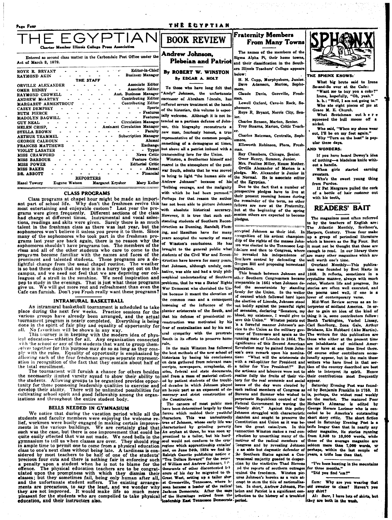# THE EGYPTIAN

er Illinois College P

Entered as second class matter in the Carbondale Post Office under the 4 Mouth 9 1970

| <b>Editor-in-Chief</b><br>ROYE R. BRYANT                                |  |  |  |
|-------------------------------------------------------------------------|--|--|--|
| <b>Busines: Manager</b><br>RAYMOND AKIN                                 |  |  |  |
| THE STAFF                                                               |  |  |  |
| Associate Editor<br>ORVILLE ALEXANDER                                   |  |  |  |
| Associate Editor<br><b>OMER HENRY</b>                                   |  |  |  |
| Asst. Business Manager<br>RAYMOND CROWELL                               |  |  |  |
| Contributing Editor<br><b>ANDREW MCARTHY</b>                            |  |  |  |
| Contributing Editor<br>MARGARET ARMENTROUT                              |  |  |  |
| Sports<br><b>CASEY DEMPSEY</b>                                          |  |  |  |
| - Features<br>RUTH PIERCE                                               |  |  |  |
| <b>Features</b><br>MADOLYN BAGWILL                                      |  |  |  |
| <b>Circulation Manager</b><br><b>GUY NEAL</b>                           |  |  |  |
| <b>Assiscant Circulation Manager</b><br>HELEN CRISP.                    |  |  |  |
| <b>Faculty</b><br><b>STELLA BROWN</b>                                   |  |  |  |
| <b>Subscription Manager</b><br>ARTHUR TRAMMEL                           |  |  |  |
| Alumni<br><b>GEORGE CALHOUN</b>                                         |  |  |  |
| <b>Exchange</b><br>FRANCES MATTHEWS                                     |  |  |  |
| Typist<br>VIOLET LASATER                                                |  |  |  |
| <b>News Critic</b><br><b>MISS CRAWFORD</b>                              |  |  |  |
| <b>Feature Critic</b><br><b>MISS BARBOUR</b>                            |  |  |  |
| <b>Editorial Critic</b><br><b>MISS POWER</b>                            |  |  |  |
| Alumni<br><b>MISS BAKER</b>                                             |  |  |  |
| Financial                                                               |  |  |  |
| <b>DR ABBOTT</b>                                                        |  |  |  |
| <b>REPORTERS</b>                                                        |  |  |  |
| Mary Keller<br>Eugene Watson<br>Margaret Krysher<br><b>Hazel Towery</b> |  |  |  |
|                                                                         |  |  |  |

#### **CLASS PROGRAMS**

Class programs at chapel hour might be made an import-<br>ant part of school life. Why don't the freshmen revive this<br>most entertaining and enjoyable custom? Last year the programs were given frequently. Different sections of the class had charge at different times. Instrumental and vocal selections, readings and skits were given. Surely there is as much talent in the freshman class as there was last year, but the sophomores won't believe it unless you prove it to them. Since many of the sophomores who took part in the freshman promany of the sopromores who took part in the treshman pro-<br>grams last year are back again, there is no reason why the<br>sophomores shouldn't have programs too. The members of the<br>class and all of the other students who care t programs become familiar with the names and faces of the prominent and talented students. These programs are a de-<br>lightful change from the usual chapel routine. The weather is so bad these days that no one is in a hurry to get out on the campus, and we need not feel that we are depriving our colleagues of a stroll in the sunshine. We need inspiration and pep to study in the evenings. That is just what these programs give us. We will get more rest and refreshment than even the Cafe can furnish. Don't you Frosh really want these programs?

#### **INTRAMURAL BASKETBALL**

An intramural basketball tournament is scheduled to take place during the next few weeks. Practice sessions for the various groups have already been arranged, and the actual tournament program is nearly completed. Everything is being done in the spirit of fair play and equality of opportunity for No favoritism will be shown in any way.<br>This tourney is in keeping with the modern idea of phys $nII.$ 

ical education-athletics for all. Any organization connected with the school or any of the students that want to group themselves together for this purpose may do so as long as they comply with the rules. Equality of opportunity is emphasized by allowing each of the four freshman groups separate represent-<br>allowing each of the four freshman groups separate represent-<br>ation in recognition of the fact that they contain about half of the total enrollment.

The tournament will furnish a chance for others besides the necessarily limited varsity squad to show their ability to the students. Allowing groups to be organized provides opportunity for those possessing leadership qualities to exercise and develop their ability. There will be unlimited possibilities for<br>cultivating school spirit and good fellowship among the organizations and throughout the entire student body.

#### BELLS NEEDED IN GYMNASIUM

We notice that during the vacation period while all the students and faculty members were enjoying the welcome relief, workmen were busily engaged in making certain improvements in the various buildings. We are certainly glad that such was the case, but there is one improvement that could be quite easily effected that was not made. We need bells in the gymnasium to tell us when classes are over. They should ring<br>in ample time to permit one to come from a physical education class to one's next class without being late. A tardiness is considered by most teachers to be half of one of the students precious four cuts and there is nothing fair in enforcing such a penalty upon a student when he is not to blame for the offence. The physical education teachers are to be congratulated upon the promptness with which they dismiss their states when they sometimes fail, being only human after all, and the unfortunate student suffers. The existing arrangements are precarious, to say the least, and we wonder why the ments are precarious, to say the least, an nicasant for the students who are compelled to take physical of the Hermitage retired from the education, and their instructors also.

# **BOOK REVIEW**

### Andrew Johnson. **Plebeian and Patriot**

By ROBERT W. WINSTON **By EDGAR A. HOLT** 

To those who have long felt that "Andy" Johnson, the unfortunate successor of Abraham Jincoln, has suffered severe treatment at the hands of the historian, this volume is especially welcome. Although it is not intended as a partisan defense of Johnson, this biography reconstructs a new man, fearlessly honest, a true representative of the common people. something of a demagogue at times but above all a patriot imbued with a transcending love for the Union. Winston, a Southerner himself and reared in the atmosphere of the post-

war South, admits that he was moved to bring to light "the human side of Andrew Johnson" because of his "bulldog courage, and the malignity with which he had been pursued.' Perhans for that reason the author

has not been able to picture Johnson with absolute historical accuracy However, it is true that such outstanding students of Southern Reconstruction as Dunning, Randall, Fleming, and Hamilton have for many years accepted the veracity of many of Winston's conclusions. He has brought to the general public what students of the Civil War and Reconstruction have known for many years, that Johnson, although unduly comhative, was able and had a truly philosophical understanding of Southern problems, that he was a States' Rights War Democrat who cherished the Union because it meant the elevation of

the common man and a consequent lessening of the influence of the planter aristocrats of the South, and that his defense of presidential reconstruction was motivated by his fear of centralization and by his natural sympathy with the prostrate South in its efforts to preserve home rule.

In the main Winston has followed the best methods of the new school of historians by basing his conclusions on data gathered from relevant manuscripts. newspapers, scrapbooks, di aries, federal and state documents and from a mass of material collect ed by patient students of the troubled decades in which Johnson played an heroic part as an exponent of democracy and strict construction of the Constitution.

The careers of most public mer ave been determined largely by thos forces which molded their youthful characters. This was undoubtedly true of Johnson, whose early life was characterized by grinding poverty An orphan at three, he was soon ar prenticed to a tailor, but his hard soul would not conform to the crue regime which apprenticeship entailed and, on June 24th, 1824 we find the Raleigh Gazette publishing notice o "Ten Dollars Reward" for the retuof William and Andrew Johnson. I thousands of other discontented Int orers of his day he migrated to th Great West, setting up a tailor show at Greeneville, Tennessee, where he soon became a leader of the radical Jackron Democrats. After the sage leadership East Tennessee Democrats

**Fraternity Members From Many Towns** 

The names of the members of the Sigma Alpha Pi, their home towns and their classification in the South ern Illinois Teachers' College appears helow.

H. N. Cupp, Murphysboro, Junior Dave Adamson, Marion, Sopho

Claude Davis, Goreville, Fresh  $\sim$ 

Lowell Oxford, Cave-in Rock, Sophomore. Roye R. Bryant, Norris City, Sen

Charles Benson, Marion, Senior.

Troy Stearns, Marion, Critic TeacheE.

Charles Bateman, Centralia, Soph

Ellsworth Robinson, Flora, Fresh an.

Ray Chambers, Chicago, Senior. Omer Henry, Sumner, Junior.

Mrs. Pauline Miller, House Mother. Orville Alexander of Marion is a pledge. Mr. Alexander is Junior in the Normal. He is associate editor

of the Egyptian. Due to the fact that a number of prospective pledges have to live at their present rooming houses during the remainder of the term, no other fellows are now at the Fraternity but at the beginning of the spring session others are expected to become pledges.

<u>.</u><br>2002 - Paris Parlamento de Partido de Antonio de Partido de Partido de Partido de Partido de Partido de Partido accepted Johnson as their idol. In cognition of his ardent championship of the rights of the masses John ton was elected to the Tennessee Legslature and then to Congress, where he revealed his independence of Southern control by defending the Oregon Bill and proposing homestead egislation.

This breach between Johnson and other Southern Congressmen became irreparable in 1861 when Johnson defied the secessionists by standing firmly for the Union. In the welter of counsel which followed hard upon the election of Lincoln, Johnson stood out boldly against the peaceful right<br>of secession, declaring "Senators, my blood, my existence, I would give to save this Union." Winston points out n a forceful manner Johnson's service to the Union as the military governor of Tennessee and again as the running mate of Lincoln in 1864. The ignificance of this Second American Revolution may be gained from Johnson's own remark upon his nomination: "What will the aristocrats do with a rail-splitter for President and a tailor for Vice President?"  $P_{\text{int}}$ the artisans and laborers were not to realize fully the fruits of their vic tory for the real economic and social issues of the day were clouded by

such radical members of Congress as Stevens and Sumner who wished to perpetuate Republican control of the Ference Republican control of the<br>Federal Government by waving the<br>"bloody shirt." Against this policy Johnson struggled with characteristic ibandon and sought to preserve the Constitution and Union as it was be fore the great cataclysm. In this connection Winston makes a real conribution by unearthing many of the motives of the radical members of Congress and by revealing Johns s an able but dogmatic defender of Southern States against a Conressional majority goaded to desperition by the vindictive Thad Stevens the reports of southern outrages trainst the freedmen. Winston pic ures Johnson's horoics as a vain atenupt to stem the tide of nationalizaion. In short, Andrew Johnson, Piebeian and Patriot is a significant contribution to the history of a troubled period.



THE SPHINX KNOWS.

What big brute said to Irene So-and-So over at the Cafe: "Want me to buy you a coke?"<br>Irene, hopefully, "Oh, yeah."

b. b.: "Well, I am not going to." Who ate eight pieces of pie at Grace M. E. Church.

What Scotchman out here mones anony the hit havenne nickel.

who said, "When my shoes wear out, I'll be on my feet again."

Why "Turn on the heat" is nonular these days.

AND WONDFRS.

If you have beard Dewey's idea of nothing-a bladeless knife without a handle.

When girls started earning sweaters.

Who's the sweet young thing from Purdue.

If Pat Margrave pulled the cork of a bottle of hair restorer out with his teeth,

### **READERS' BAIT**

The magazines most often referred to by the teachers of English are: The Atlantic Monthly, Scribner's, Harpers, Century. These four make up a group of periodical literature<br>which is known as the Big Four. But it must not be thought that these are enough to read. In our library there are many other magazines which are

well worth one's time. Overland Monthly-This nublication was founded by Bret Harte in 1868. It reflects, sometimes in crystaline manner, always with much color. Western life and progress. Its stories are often well executed, and the poems used well, if one is a

lover of contemporary verse. Mid-West Review serves as an interpreter of midland America. In order to gain an idea of the kind of thing it is, some contributors follow: Booth Tarkington, Vachel Linsay, Carl Sandburg, Zona Gale, Arthur Brisbane, Kin Hubbard (Abe Martin). The writers for this publication are those who either at the present time are inhabitants of midland America or have at one time lived there. Of course other contributors occasionally appear, but in the main those writers who have lived in that section of the country described are best able to interpret its spirit. Hence their contributions most frequently appear.

Saturday Evening Post was founded by Benjamin Franklin in 1758. It is, perhaps, the widest read weekly<br>on the market. The matured Poor Richard's Almanac is edited by George Horace Lorimer who is conceded to be America's outstanding short story critic. The short fiction used in Saturday Evening Post is a trifle longer than that in nearly any other magazine, its stories running from 8,000 to 10,000 words, while ae of the average magazine are seldom more than 7,000 words, or years, a trifle less than that.

"I've been hunting in the mountains for three months.' "Did you find 'em?"

Sam: Why are you wearing that old sweater to class? Haven't you any shirt?

Al: Sure, I have lots of shirts, but they are both in the wash.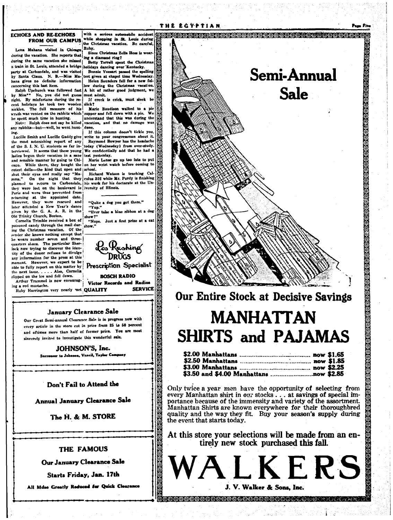Lena Mahana visited in Chicago Lena manata vision. She reports that  $\left| \begin{array}{c} \text{Since Currismas } \text{z-} \\ \text{in } \mathbb{R} \end{array} \right|$  and  $\left| \begin{array}{c} \text{Since Currismas } \text{z-} \\ \text{in } \mathbb{R} \end{array} \right|$ during the same vacation she missed a train in St. Louis, attended a bridge party at Carbondale, and was visited by Santa Claus. N. B. Miss Mahana gives no definite information concerning this last item.

by Miss\*\* No. you did not guess must admit. right. By misfortune during the recent holidays he took two wooden nickles. The full measure of his wrath was vented on the rabbits which he spent much time in hunting.

Note: Ralph does not say he killed any rabbits-uut-well, he went hunting.

Lucille Smith and Lucille Gaddy give the most astonishing report of any of the S. J. N. U. students so far interviewed. It seems that these young ladies began their vacation in a sane and sensible manner by going to Chi-While there, they bought the cago. entest dolls-the kind that open and ischool. shut their eyes and really say "Mamma." On the night that they<br>planned to return to Carbondale, they were lost on the boulevard le iversity of Illinois. Paris and were thus prevented from wturning at the appointed date. However, they were rescued and later attended a New Year's dance given by the G. A. A. R. in the Old Trinity Church, Boston.

Cornelia Trimble received a box of poisoned candy through the mail during the Christmas vacation. Of the sender she knows nothing except that he wears number seven and threequarters shoes. The particular Sher-lock now trying to discover the identity of the donor refuses to divulge any information for the press at this moment. However, we expect to be able to fully report on this matter by Prescription Specialist the next issue. . . . . Also, Cornelia<br>slipped on the ice and fell down.

Arthur Trammel is now encourage. Victor Records and Radios ing a red mustache.

Ruby Harrington very nearly met QUALITY

with a serious automobile accident while shopping in St. Louis during the Christmas vacation. Be careful,

Ruby. Since Christmas Zella Hess is w

Betty Terrell spent the Christma holidays dancing over Kentucky.

Bonnie Veesart passed the spelling test given at chanel time Wednesday Helen Saunders fell for a new fel-

low during the Christmas vacation. Ralph Upchurch was followed fast A bit of rather good judgment, we

> If creek is crick, must sleek b slick?

> Marie Baudison walked to a pie supper and fell down with a pie. We understand that this was during the vacation, and that no damage was ' do

If this column doesn't tickle you write to your congressman about it.

Raymond Bowyer has the headache today (Wednesday) from over-study. We confidentially add that he had a test yesteniay.

Marie Lense go up too late to put on her wrist watch before coming to

Richard Watson is teaching Calculus 302 while Mr. Purdy is finishing his work for his doctorate at the Un-

"Quite a dog you got there."<br>"Yup."

"Ever take a blue ribbon at a dog

ow ?" "Nope. Just a first prize at a show."



**BOSCH RADIO** 

**SERVICE** 

**A PARTICULAR DE L'ANGELIA DE L'ANGELIA DE L'ANGELIA DE L'ANGELIA DE L'ANGELIA DE L'ANGELIA DE L'ANGELIA DE L'A** 

#### January Clearance Sale

Our Great Semi-annual Clearance Sale is in progress now with every article in the store cut in price from 25 to 50 percent and oftimes more than half of former price. You are most sincerely invited to investigate this wonderful sale.

> JOHNSON'S, Inc. Successor to Johnson, Vancil, Tayler Company

Don't Fail to Attend the

**Annual January Clearance Sale** 

The H. & M. STORE

# THE FAMOUS

Our January Clearance Sale

Starts Friday, Jan. 17th

All Mdse Greatly Reduced for Quick Clearance



231234234334234334334334534534

Only twice a year men have the opportunity of selecting from every Manhattan shirt in our stocks . . . at savings of special importance because of the immensity and variety of the assortment. Manhattan Shirts are known everywhere for their thoroughbred quality and the way they fit. Buy your season's supply during the event that starts today.

At this store your selections will be made from an entirely new stock purchased this fall.



\*\*\*\*\*\*\*\*\*\*\*\*\*\*\*\*\*\*\*\*\*\*\*\*\*\*\*\*\*\*\*